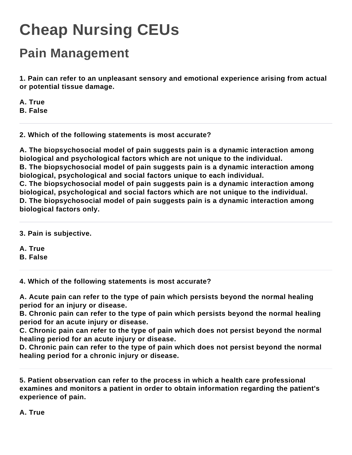## **Cheap Nursing CEUs**

## **Pain Management**

**1. Pain can refer to an unpleasant sensory and emotional experience arising from actual or potential tissue damage.**

**A. True**

**B. False**

## **2. Which of the following statements is most accurate?**

**A. The biopsychosocial model of pain suggests pain is a dynamic interaction among biological and psychological factors which are not unique to the individual. B. The biopsychosocial model of pain suggests pain is a dynamic interaction among** 

**biological, psychological and social factors unique to each individual.**

**C. The biopsychosocial model of pain suggests pain is a dynamic interaction among biological, psychological and social factors which are not unique to the individual. D. The biopsychosocial model of pain suggests pain is a dynamic interaction among biological factors only.**

**3. Pain is subjective.**

**A. True**

**B. False**

**4. Which of the following statements is most accurate?**

**A. Acute pain can refer to the type of pain which persists beyond the normal healing period for an injury or disease.**

**B. Chronic pain can refer to the type of pain which persists beyond the normal healing period for an acute injury or disease.**

**C. Chronic pain can refer to the type of pain which does not persist beyond the normal healing period for an acute injury or disease.**

**D. Chronic pain can refer to the type of pain which does not persist beyond the normal healing period for a chronic injury or disease.**

**5. Patient observation can refer to the process in which a health care professional examines and monitors a patient in order to obtain information regarding the patient's experience of pain.**

**A. True**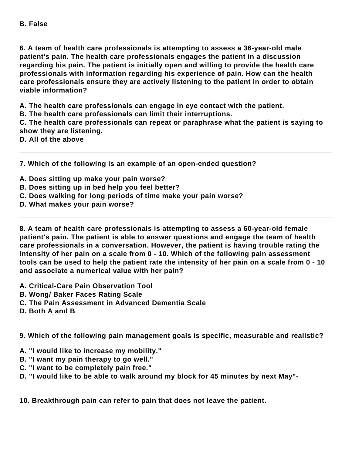**6. A team of health care professionals is attempting to assess a 36-year-old male patient's pain. The health care professionals engages the patient in a discussion regarding his pain. The patient is initially open and willing to provide the health care professionals with information regarding his experience of pain. How can the health care professionals ensure they are actively listening to the patient in order to obtain viable information?**

**A. The health care professionals can engage in eye contact with the patient.**

**B. The health care professionals can limit their interruptions.**

**C. The health care professionals can repeat or paraphrase what the patient is saying to show they are listening.**

**D. All of the above**

**7. Which of the following is an example of an open-ended question?**

- **A. Does sitting up make your pain worse?**
- **B. Does sitting up in bed help you feel better?**
- **C. Does walking for long periods of time make your pain worse?**
- **D. What makes your pain worse?**

**8. A team of health care professionals is attempting to assess a 60-year-old female patient's pain. The patient is able to answer questions and engage the team of health care professionals in a conversation. However, the patient is having trouble rating the intensity of her pain on a scale from 0 - 10. Which of the following pain assessment tools can be used to help the patient rate the intensity of her pain on a scale from 0 - 10 and associate a numerical value with her pain?**

- **A. Critical-Care Pain Observation Tool**
- **B. Wong/ Baker Faces Rating Scale**
- **C. The Pain Assessment in Advanced Dementia Scale**
- **D. Both A and B**

**9. Which of the following pain management goals is specific, measurable and realistic?**

- **A. "I would like to increase my mobility."**
- **B. "I want my pain therapy to go well."**
- **C. "I want to be completely pain free."**
- **D. "I would like to be able to walk around my block for 45 minutes by next May"-**

**10. Breakthrough pain can refer to pain that does not leave the patient.**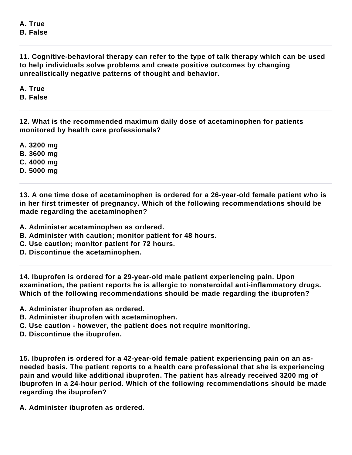**A. True B. False**

**11. Cognitive-behavioral therapy can refer to the type of talk therapy which can be used to help individuals solve problems and create positive outcomes by changing unrealistically negative patterns of thought and behavior.**

**A. True**

**B. False**

**12. What is the recommended maximum daily dose of acetaminophen for patients monitored by health care professionals?**

**A. 3200 mg**

**B. 3600 mg**

**C. 4000 mg**

**D. 5000 mg**

**13. A one time dose of acetaminophen is ordered for a 26-year-old female patient who is in her first trimester of pregnancy. Which of the following recommendations should be made regarding the acetaminophen?**

**A. Administer acetaminophen as ordered.**

**B. Administer with caution; monitor patient for 48 hours.**

**C. Use caution; monitor patient for 72 hours.**

**D. Discontinue the acetaminophen.**

**14. Ibuprofen is ordered for a 29-year-old male patient experiencing pain. Upon examination, the patient reports he is allergic to nonsteroidal anti-inflammatory drugs. Which of the following recommendations should be made regarding the ibuprofen?**

**A. Administer ibuprofen as ordered.**

**B. Administer ibuprofen with acetaminophen.**

**C. Use caution - however, the patient does not require monitoring.**

**D. Discontinue the ibuprofen.**

**15. Ibuprofen is ordered for a 42-year-old female patient experiencing pain on an asneeded basis. The patient reports to a health care professional that she is experiencing pain and would like additional ibuprofen. The patient has already received 3200 mg of ibuprofen in a 24-hour period. Which of the following recommendations should be made regarding the ibuprofen?**

**A. Administer ibuprofen as ordered.**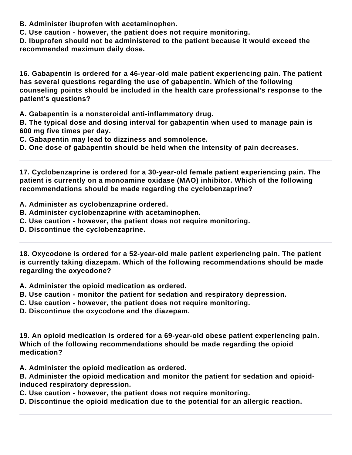**B. Administer ibuprofen with acetaminophen.**

**C. Use caution - however, the patient does not require monitoring.**

**D. Ibuprofen should not be administered to the patient because it would exceed the recommended maximum daily dose.**

**16. Gabapentin is ordered for a 46-year-old male patient experiencing pain. The patient has several questions regarding the use of gabapentin. Which of the following counseling points should be included in the health care professional's response to the patient's questions?**

**A. Gabapentin is a nonsteroidal anti-inflammatory drug.**

**B. The typical dose and dosing interval for gabapentin when used to manage pain is 600 mg five times per day.**

**C. Gabapentin may lead to dizziness and somnolence.**

**D. One dose of gabapentin should be held when the intensity of pain decreases.**

**17. Cyclobenzaprine is ordered for a 30-year-old female patient experiencing pain. The patient is currently on a monoamine oxidase (MAO) inhibitor. Which of the following recommendations should be made regarding the cyclobenzaprine?**

- **A. Administer as cyclobenzaprine ordered.**
- **B. Administer cyclobenzaprine with acetaminophen.**
- **C. Use caution however, the patient does not require monitoring.**
- **D. Discontinue the cyclobenzaprine.**

**18. Oxycodone is ordered for a 52-year-old male patient experiencing pain. The patient is currently taking diazepam. Which of the following recommendations should be made regarding the oxycodone?**

**A. Administer the opioid medication as ordered.**

- **B. Use caution monitor the patient for sedation and respiratory depression.**
- **C. Use caution however, the patient does not require monitoring.**
- **D. Discontinue the oxycodone and the diazepam.**

**19. An opioid medication is ordered for a 69-year-old obese patient experiencing pain. Which of the following recommendations should be made regarding the opioid medication?**

**A. Administer the opioid medication as ordered.**

**B. Administer the opioid medication and monitor the patient for sedation and opioidinduced respiratory depression.**

**C. Use caution - however, the patient does not require monitoring.**

**D. Discontinue the opioid medication due to the potential for an allergic reaction.**